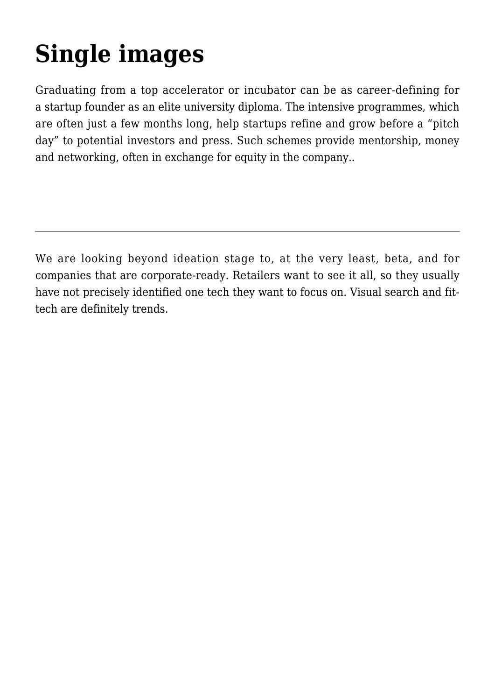## **[Single images](https://gpsnews.ucsd.edu/galleries/)**

Graduating from a top accelerator or incubator can be as career-defining for a startup founder as an elite university diploma. The intensive programmes, which are often just a few months long, help startups refine and grow before a "pitch day" to potential investors and press. Such schemes provide mentorship, money and networking, often in exchange for equity in the company..

We are looking beyond ideation stage to, at the very least, beta, and for companies that are corporate-ready. Retailers want to see it all, so they usually have not precisely identified one tech they want to focus on. Visual search and fittech are definitely trends.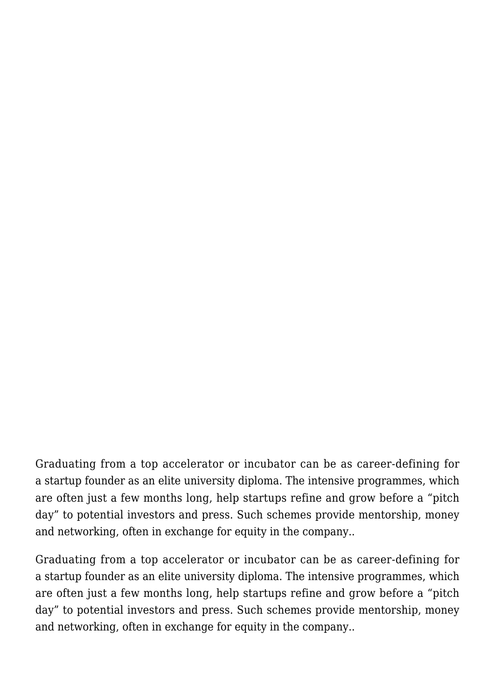Graduating from a top accelerator or incubator can be as career-defining for a startup founder as an elite university diploma. The intensive programmes, which are often just a few months long, help startups refine and grow before a "pitch day" to potential investors and press. Such schemes provide mentorship, money and networking, often in exchange for equity in the company..

Graduating from a top accelerator or incubator can be as career-defining for a startup founder as an elite university diploma. The intensive programmes, which are often just a few months long, help startups refine and grow before a "pitch day" to potential investors and press. Such schemes provide mentorship, money and networking, often in exchange for equity in the company..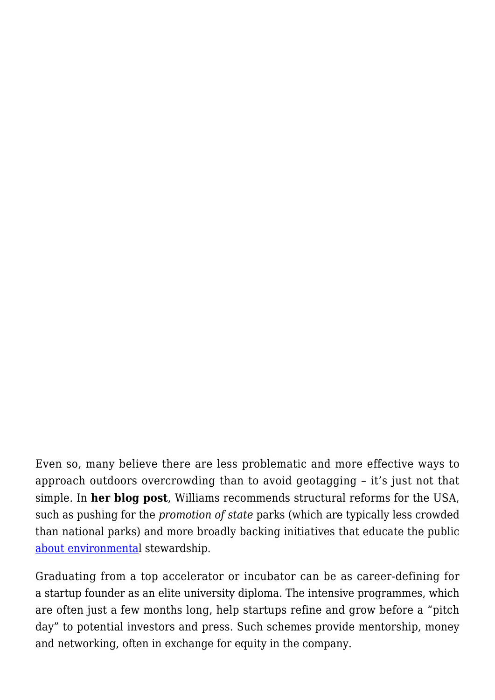Even so, many believe there are less problematic and more effective ways to approach outdoors overcrowding than to avoid geotagging – it's just not that simple. In **her blog post**, Williams recommends structural reforms for the USA, such as pushing for the *promotion of state* parks (which are typically less crowded than national parks) and more broadly backing initiatives that educate the public [about environmental](#page--1-0) stewardship.

Graduating from a top accelerator or incubator can be as career-defining for a startup founder as an elite university diploma. The intensive programmes, which are often just a few months long, help startups refine and grow before a "pitch day" to potential investors and press. Such schemes provide mentorship, money and networking, often in exchange for equity in the company.